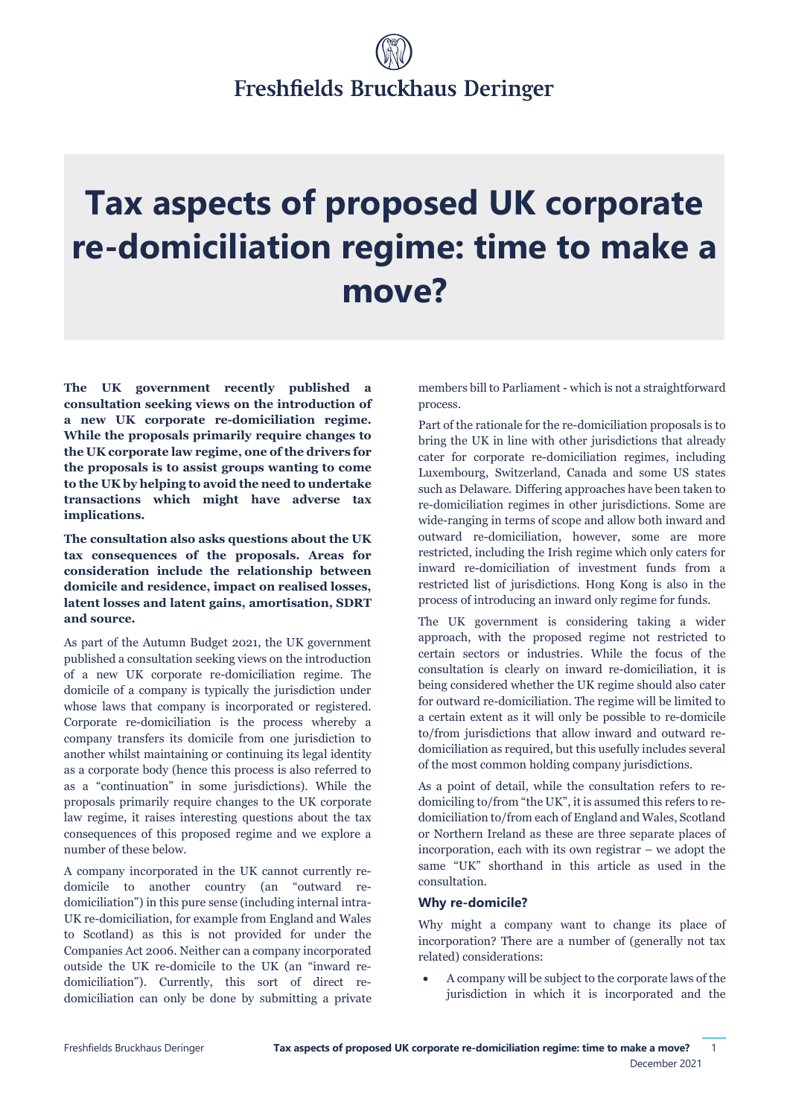# Freshfields Bruckhaus Deringer

# **Tax aspects of proposed UK corporate re-domiciliation regime: time to make a move?**

**The UK government recently published a consultation seeking views on the introduction of a new UK corporate re-domiciliation regime. While the proposals primarily require changes to the UK corporate law regime, one of the drivers for the proposals is to assist groups wanting to come to the UK by helping to avoid the need to undertake transactions which might have adverse tax implications.** 

**The consultation also asks questions about the UK tax consequences of the proposals. Areas for consideration include the relationship between domicile and residence, impact on realised losses, latent losses and latent gains, amortisation, SDRT and source.** 

As part of the Autumn Budget 2021, the UK government published a consultation seeking views on the introduction of a new UK corporate re-domiciliation regime. The domicile of a company is typically the jurisdiction under whose laws that company is incorporated or registered. Corporate re-domiciliation is the process whereby a company transfers its domicile from one jurisdiction to another whilst maintaining or continuing its legal identity as a corporate body (hence this process is also referred to as a "continuation" in some jurisdictions). While the proposals primarily require changes to the UK corporate law regime, it raises interesting questions about the tax consequences of this proposed regime and we explore a number of these below.

A company incorporated in the UK cannot currently redomicile to another country (an "outward redomiciliation") in this pure sense (including internal intra-UK re-domiciliation, for example from England and Wales to Scotland) as this is not provided for under the Companies Act 2006. Neither can a company incorporated outside the UK re-domicile to the UK (an "inward redomiciliation"). Currently, this sort of direct redomiciliation can only be done by submitting a private members bill to Parliament - which is not a straightforward process.

Part of the rationale for the re-domiciliation proposals is to bring the UK in line with other jurisdictions that already cater for corporate re-domiciliation regimes, including Luxembourg, Switzerland, Canada and some US states such as Delaware. Differing approaches have been taken to re-domiciliation regimes in other jurisdictions. Some are wide-ranging in terms of scope and allow both inward and outward re-domiciliation, however, some are more restricted, including the Irish regime which only caters for inward re-domiciliation of investment funds from a restricted list of jurisdictions. Hong Kong is also in the process of introducing an inward only regime for funds.

The UK government is considering taking a wider approach, with the proposed regime not restricted to certain sectors or industries. While the focus of the consultation is clearly on inward re-domiciliation, it is being considered whether the UK regime should also cater for outward re-domiciliation. The regime will be limited to a certain extent as it will only be possible to re-domicile to/from jurisdictions that allow inward and outward redomiciliation as required, but this usefully includes several of the most common holding company jurisdictions.

As a point of detail, while the consultation refers to redomiciling to/from "the UK", it is assumed this refers to redomiciliation to/from each of England and Wales, Scotland or Northern Ireland as these are three separate places of incorporation, each with its own registrar – we adopt the same "UK" shorthand in this article as used in the consultation.

#### **Why re-domicile?**

Why might a company want to change its place of incorporation? There are a number of (generally not tax related) considerations:

 A company will be subject to the corporate laws of the jurisdiction in which it is incorporated and the

1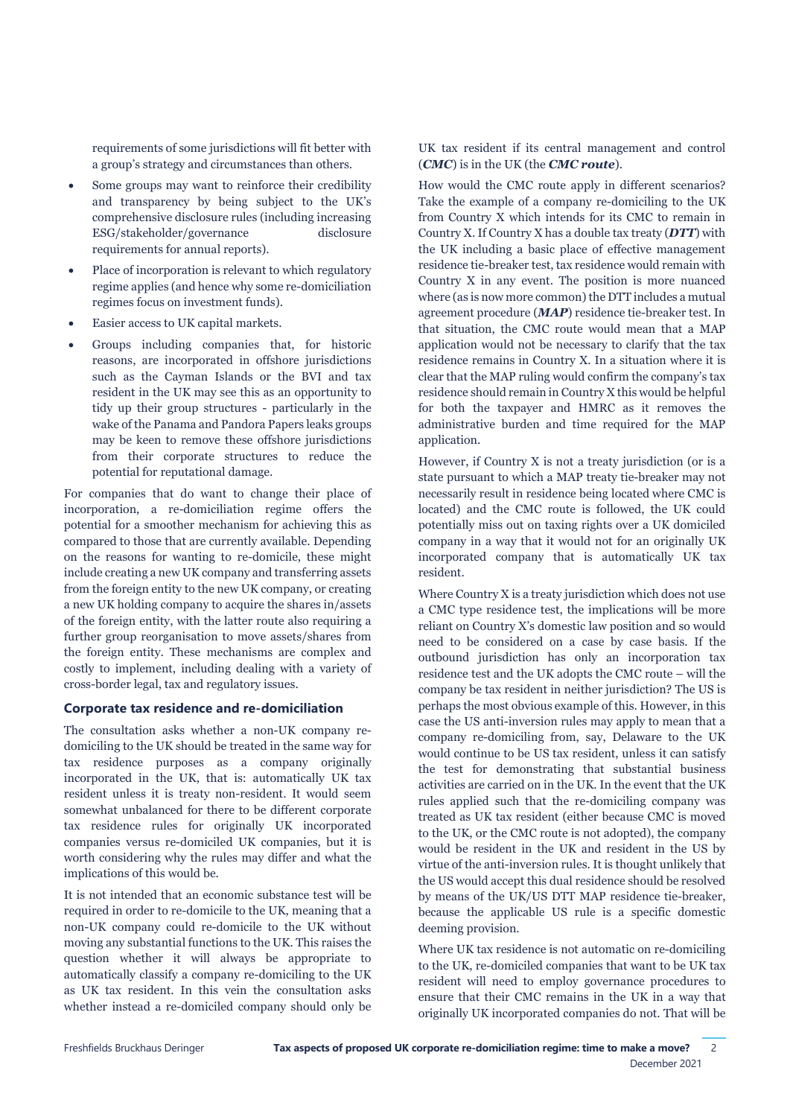requirements of some jurisdictions will fit better with a group's strategy and circumstances than others.

- Some groups may want to reinforce their credibility and transparency by being subject to the UK's comprehensive disclosure rules (including increasing ESG/stakeholder/governance disclosure requirements for annual reports).
- Place of incorporation is relevant to which regulatory regime applies (and hence why some re-domiciliation regimes focus on investment funds).
- Easier access to UK capital markets.
- Groups including companies that, for historic reasons, are incorporated in offshore jurisdictions such as the Cayman Islands or the BVI and tax resident in the UK may see this as an opportunity to tidy up their group structures - particularly in the wake of the Panama and Pandora Papers leaks groups may be keen to remove these offshore jurisdictions from their corporate structures to reduce the potential for reputational damage.

For companies that do want to change their place of incorporation, a re-domiciliation regime offers the potential for a smoother mechanism for achieving this as compared to those that are currently available. Depending on the reasons for wanting to re-domicile, these might include creating a new UK company and transferring assets from the foreign entity to the new UK company, or creating a new UK holding company to acquire the shares in/assets of the foreign entity, with the latter route also requiring a further group reorganisation to move assets/shares from the foreign entity. These mechanisms are complex and costly to implement, including dealing with a variety of cross-border legal, tax and regulatory issues.

#### **Corporate tax residence and re-domiciliation**

The consultation asks whether a non-UK company redomiciling to the UK should be treated in the same way for tax residence purposes as a company originally incorporated in the UK, that is: automatically UK tax resident unless it is treaty non-resident. It would seem somewhat unbalanced for there to be different corporate tax residence rules for originally UK incorporated companies versus re-domiciled UK companies, but it is worth considering why the rules may differ and what the implications of this would be.

It is not intended that an economic substance test will be required in order to re-domicile to the UK, meaning that a non-UK company could re-domicile to the UK without moving any substantial functions to the UK. This raises the question whether it will always be appropriate to automatically classify a company re-domiciling to the UK as UK tax resident. In this vein the consultation asks whether instead a re-domiciled company should only be

UK tax resident if its central management and control (*CMC*) is in the UK (the *CMC route*).

How would the CMC route apply in different scenarios? Take the example of a company re-domiciling to the UK from Country X which intends for its CMC to remain in Country X. If Country X has a double tax treaty (*DTT*) with the UK including a basic place of effective management residence tie-breaker test, tax residence would remain with Country X in any event. The position is more nuanced where (as is now more common) the DTT includes a mutual agreement procedure (*MAP*) residence tie-breaker test. In that situation, the CMC route would mean that a MAP application would not be necessary to clarify that the tax residence remains in Country X. In a situation where it is clear that the MAP ruling would confirm the company's tax residence should remain in Country X this would be helpful for both the taxpayer and HMRC as it removes the administrative burden and time required for the MAP application.

However, if Country X is not a treaty jurisdiction (or is a state pursuant to which a MAP treaty tie-breaker may not necessarily result in residence being located where CMC is located) and the CMC route is followed, the UK could potentially miss out on taxing rights over a UK domiciled company in a way that it would not for an originally UK incorporated company that is automatically UK tax resident.

Where Country X is a treaty jurisdiction which does not use a CMC type residence test, the implications will be more reliant on Country X's domestic law position and so would need to be considered on a case by case basis. If the outbound jurisdiction has only an incorporation tax residence test and the UK adopts the CMC route – will the company be tax resident in neither jurisdiction? The US is perhaps the most obvious example of this. However, in this case the US anti-inversion rules may apply to mean that a company re-domiciling from, say, Delaware to the UK would continue to be US tax resident, unless it can satisfy the test for demonstrating that substantial business activities are carried on in the UK. In the event that the UK rules applied such that the re-domiciling company was treated as UK tax resident (either because CMC is moved to the UK, or the CMC route is not adopted), the company would be resident in the UK and resident in the US by virtue of the anti-inversion rules. It is thought unlikely that the US would accept this dual residence should be resolved by means of the UK/US DTT MAP residence tie-breaker, because the applicable US rule is a specific domestic deeming provision.

Where UK tax residence is not automatic on re-domiciling to the UK, re-domiciled companies that want to be UK tax resident will need to employ governance procedures to ensure that their CMC remains in the UK in a way that originally UK incorporated companies do not. That will be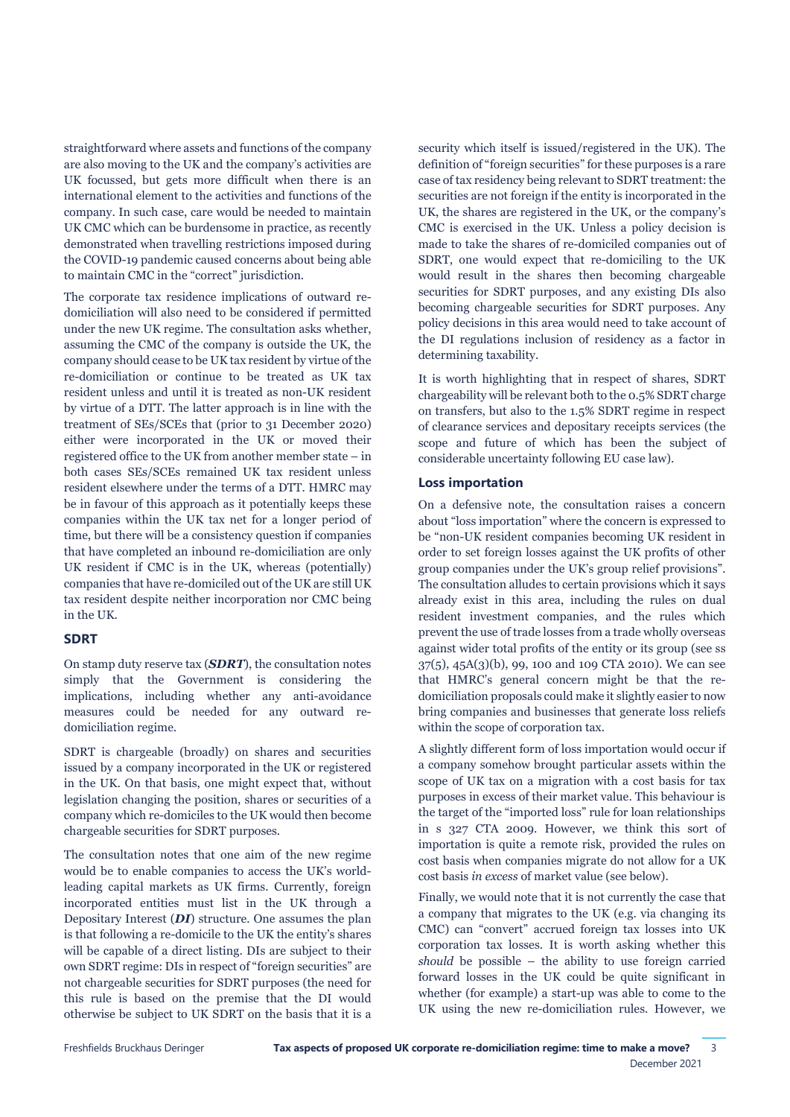straightforward where assets and functions of the company are also moving to the UK and the company's activities are UK focussed, but gets more difficult when there is an international element to the activities and functions of the company. In such case, care would be needed to maintain UK CMC which can be burdensome in practice, as recently demonstrated when travelling restrictions imposed during the COVID-19 pandemic caused concerns about being able to maintain CMC in the "correct" jurisdiction.

The corporate tax residence implications of outward redomiciliation will also need to be considered if permitted under the new UK regime. The consultation asks whether, assuming the CMC of the company is outside the UK, the company should cease to be UK tax resident by virtue of the re-domiciliation or continue to be treated as UK tax resident unless and until it is treated as non-UK resident by virtue of a DTT. The latter approach is in line with the treatment of SEs/SCEs that (prior to 31 December 2020) either were incorporated in the UK or moved their registered office to the UK from another member state – in both cases SEs/SCEs remained UK tax resident unless resident elsewhere under the terms of a DTT. HMRC may be in favour of this approach as it potentially keeps these companies within the UK tax net for a longer period of time, but there will be a consistency question if companies that have completed an inbound re-domiciliation are only UK resident if CMC is in the UK, whereas (potentially) companies that have re-domiciled out of the UK are still UK tax resident despite neither incorporation nor CMC being in the UK.

#### **SDRT**

On stamp duty reserve tax (*SDRT*), the consultation notes simply that the Government is considering the implications, including whether any anti-avoidance measures could be needed for any outward redomiciliation regime.

SDRT is chargeable (broadly) on shares and securities issued by a company incorporated in the UK or registered in the UK. On that basis, one might expect that, without legislation changing the position, shares or securities of a company which re-domiciles to the UK would then become chargeable securities for SDRT purposes.

The consultation notes that one aim of the new regime would be to enable companies to access the UK's worldleading capital markets as UK firms. Currently, foreign incorporated entities must list in the UK through a Depositary Interest (*DI*) structure. One assumes the plan is that following a re-domicile to the UK the entity's shares will be capable of a direct listing. DIs are subject to their own SDRT regime: DIs in respect of "foreign securities" are not chargeable securities for SDRT purposes (the need for this rule is based on the premise that the DI would otherwise be subject to UK SDRT on the basis that it is a

security which itself is issued/registered in the UK). The definition of "foreign securities" for these purposes is a rare case of tax residency being relevant to SDRT treatment: the securities are not foreign if the entity is incorporated in the UK, the shares are registered in the UK, or the company's CMC is exercised in the UK. Unless a policy decision is made to take the shares of re-domiciled companies out of SDRT, one would expect that re-domiciling to the UK would result in the shares then becoming chargeable securities for SDRT purposes, and any existing DIs also becoming chargeable securities for SDRT purposes. Any policy decisions in this area would need to take account of the DI regulations inclusion of residency as a factor in determining taxability.

It is worth highlighting that in respect of shares, SDRT chargeability will be relevant both to the 0.5% SDRT charge on transfers, but also to the 1.5% SDRT regime in respect of clearance services and depositary receipts services (the scope and future of which has been the subject of considerable uncertainty following EU case law).

#### **Loss importation**

On a defensive note, the consultation raises a concern about "loss importation" where the concern is expressed to be "non-UK resident companies becoming UK resident in order to set foreign losses against the UK profits of other group companies under the UK's group relief provisions". The consultation alludes to certain provisions which it says already exist in this area, including the rules on dual resident investment companies, and the rules which prevent the use of trade losses from a trade wholly overseas against wider total profits of the entity or its group (see ss 37(5), 45A(3)(b), 99, 100 and 109 CTA 2010). We can see that HMRC's general concern might be that the redomiciliation proposals could make it slightly easier to now bring companies and businesses that generate loss reliefs within the scope of corporation tax.

A slightly different form of loss importation would occur if a company somehow brought particular assets within the scope of UK tax on a migration with a cost basis for tax purposes in excess of their market value. This behaviour is the target of the "imported loss" rule for loan relationships in s 327 CTA 2009. However, we think this sort of importation is quite a remote risk, provided the rules on cost basis when companies migrate do not allow for a UK cost basis *in excess* of market value (see below).

Finally, we would note that it is not currently the case that a company that migrates to the UK (e.g. via changing its CMC) can "convert" accrued foreign tax losses into UK corporation tax losses. It is worth asking whether this *should* be possible – the ability to use foreign carried forward losses in the UK could be quite significant in whether (for example) a start-up was able to come to the UK using the new re-domiciliation rules. However, we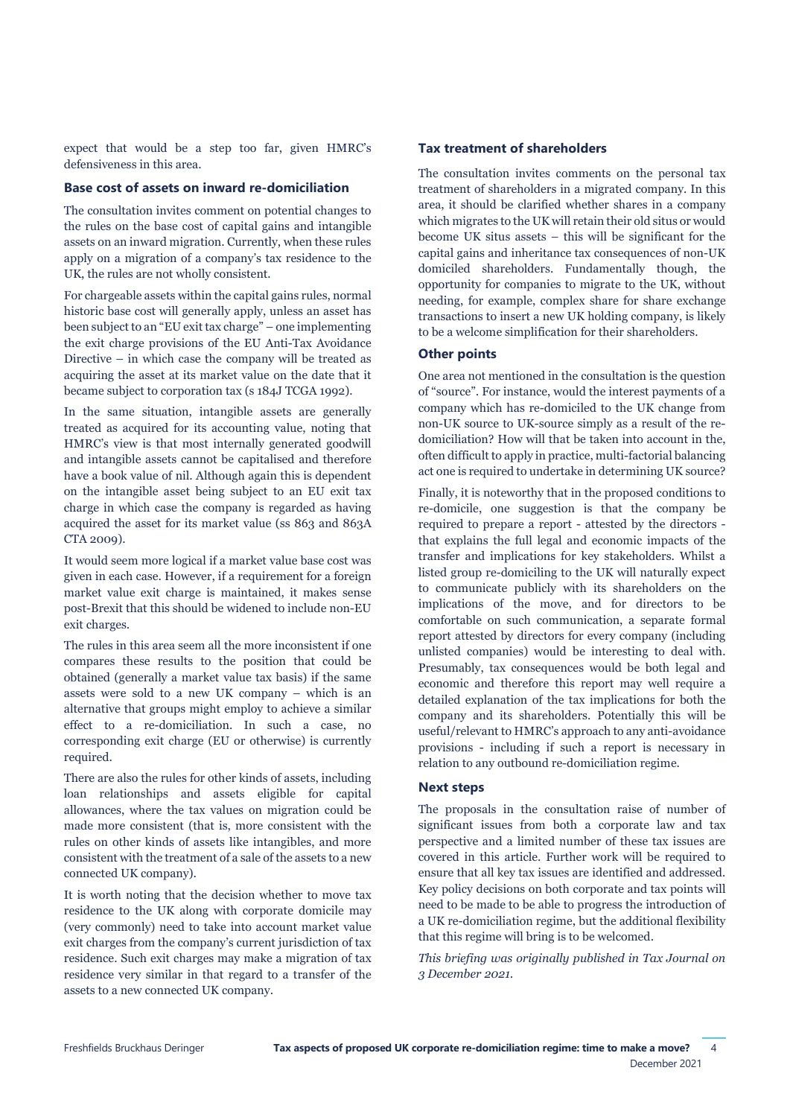expect that would be a step too far, given HMRC's defensiveness in this area.

#### **Base cost of assets on inward re-domiciliation**

The consultation invites comment on potential changes to the rules on the base cost of capital gains and intangible assets on an inward migration. Currently, when these rules apply on a migration of a company's tax residence to the UK, the rules are not wholly consistent.

For chargeable assets within the capital gains rules, normal historic base cost will generally apply, unless an asset has been subject to an "EU exit tax charge" – one implementing the exit charge provisions of the EU Anti-Tax Avoidance Directive – in which case the company will be treated as acquiring the asset at its market value on the date that it became subject to corporation tax (s 184J TCGA 1992).

In the same situation, intangible assets are generally treated as acquired for its accounting value, noting that HMRC's view is that most internally generated goodwill and intangible assets cannot be capitalised and therefore have a book value of nil. Although again this is dependent on the intangible asset being subject to an EU exit tax charge in which case the company is regarded as having acquired the asset for its market value (ss 863 and 863A CTA 2009).

It would seem more logical if a market value base cost was given in each case. However, if a requirement for a foreign market value exit charge is maintained, it makes sense post-Brexit that this should be widened to include non-EU exit charges.

The rules in this area seem all the more inconsistent if one compares these results to the position that could be obtained (generally a market value tax basis) if the same assets were sold to a new UK company – which is an alternative that groups might employ to achieve a similar effect to a re-domiciliation. In such a case, no corresponding exit charge (EU or otherwise) is currently required.

There are also the rules for other kinds of assets, including loan relationships and assets eligible for capital allowances, where the tax values on migration could be made more consistent (that is, more consistent with the rules on other kinds of assets like intangibles, and more consistent with the treatment of a sale of the assets to a new connected UK company).

It is worth noting that the decision whether to move tax residence to the UK along with corporate domicile may (very commonly) need to take into account market value exit charges from the company's current jurisdiction of tax residence. Such exit charges may make a migration of tax residence very similar in that regard to a transfer of the assets to a new connected UK company.

#### **Tax treatment of shareholders**

The consultation invites comments on the personal tax treatment of shareholders in a migrated company. In this area, it should be clarified whether shares in a company which migrates to the UK will retain their old situs or would become UK situs assets – this will be significant for the capital gains and inheritance tax consequences of non-UK domiciled shareholders. Fundamentally though, the opportunity for companies to migrate to the UK, without needing, for example, complex share for share exchange transactions to insert a new UK holding company, is likely to be a welcome simplification for their shareholders.

#### **Other points**

One area not mentioned in the consultation is the question of "source". For instance, would the interest payments of a company which has re-domiciled to the UK change from non-UK source to UK-source simply as a result of the redomiciliation? How will that be taken into account in the, often difficult to apply in practice, multi-factorial balancing act one is required to undertake in determining UK source?

Finally, it is noteworthy that in the proposed conditions to re-domicile, one suggestion is that the company be required to prepare a report - attested by the directors that explains the full legal and economic impacts of the transfer and implications for key stakeholders. Whilst a listed group re-domiciling to the UK will naturally expect to communicate publicly with its shareholders on the implications of the move, and for directors to be comfortable on such communication, a separate formal report attested by directors for every company (including unlisted companies) would be interesting to deal with. Presumably, tax consequences would be both legal and economic and therefore this report may well require a detailed explanation of the tax implications for both the company and its shareholders. Potentially this will be useful/relevant to HMRC's approach to any anti-avoidance provisions - including if such a report is necessary in relation to any outbound re-domiciliation regime.

#### **Next steps**

The proposals in the consultation raise of number of significant issues from both a corporate law and tax perspective and a limited number of these tax issues are covered in this article. Further work will be required to ensure that all key tax issues are identified and addressed. Key policy decisions on both corporate and tax points will need to be made to be able to progress the introduction of a UK re-domiciliation regime, but the additional flexibility that this regime will bring is to be welcomed.

*This briefing was originally published in Tax Journal on 3 December 2021.*